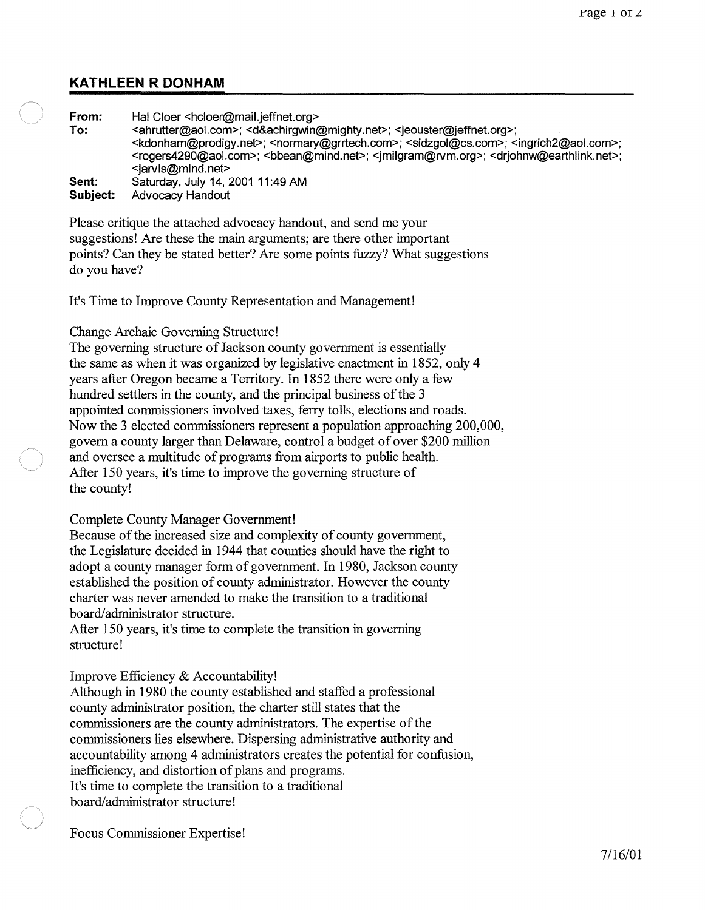# **KATHLEEN R DONHAM**

**From:** Hal Cloer <hcloer@mail.jeffnet.org><br>
To: <ahrutter@aol.com>: <d&achirgwin **To:** <ahrutter@aol.com>; <d&achirgwin@mighty.net>; <jeouster@jeffnet.org>; <kdonham@prodigy.net>; <normary@grrtech.com>; <sidzgol@cs.com>; <ingrich2@aoLcom>; <rogers4290@aoLcom>; <bbean@mind.net>; <jmilgram@rvm.org>; <drjohnw@earthlink.net>; <jarvis@mind.net> **Sent:**  Saturday, July 14, 2001 11 :49 AM

**Subject:**  Advocacy Handout

Please critique the attached advocacy handout, and send me your suggestions! Are these the main arguments; are there other important points? Can they be stated better? Are some points fuzzy? What suggestions do you have?

It's Time to Improve County Representation and Management!

### Change Archaic Governing Structure!

The governing structure of Jackson county government is essentially the same as when it was organized by legislative enactment in 1852, only 4 years after Oregon became a Territory. In 1852 there were only a few hundred settlers in the county, and the principal business of the 3 appointed commissioners involved taxes, ferry tolls, elections and roads. Now the 3 elected commissioners represent a population approaching 200,000, govern a county larger than Delaware, control a budget of over \$200 million and oversee a multitude of programs from airports to public health. After 150 years, it's time to improve the governing structure of the county!

### Complete County Manager Government!

Because of the increased size and complexity of county government, the Legislature decided in 1944 that counties should have the right to adopt a county manager form of government. In 1980, Jackson county established the position of county administrator. However the county charter was never amended to make the transition to a traditional board/administrator structure.

After 150 years, it's time to complete the transition in governing structure!

## Improve Efficiency & Accountability!

Although in 1980 the county established and staffed a professional county administrator position, the charter still states that the commissioners are the county administrators. The expertise of the commissioners lies elsewhere. Dispersing administrative authority and accountability among 4 administrators creates the potential for confusion, inefficiency, and distortion of plans and programs. It's time to complete the transition to a traditional board/administrator structure!

Focus Commissioner Expertise!